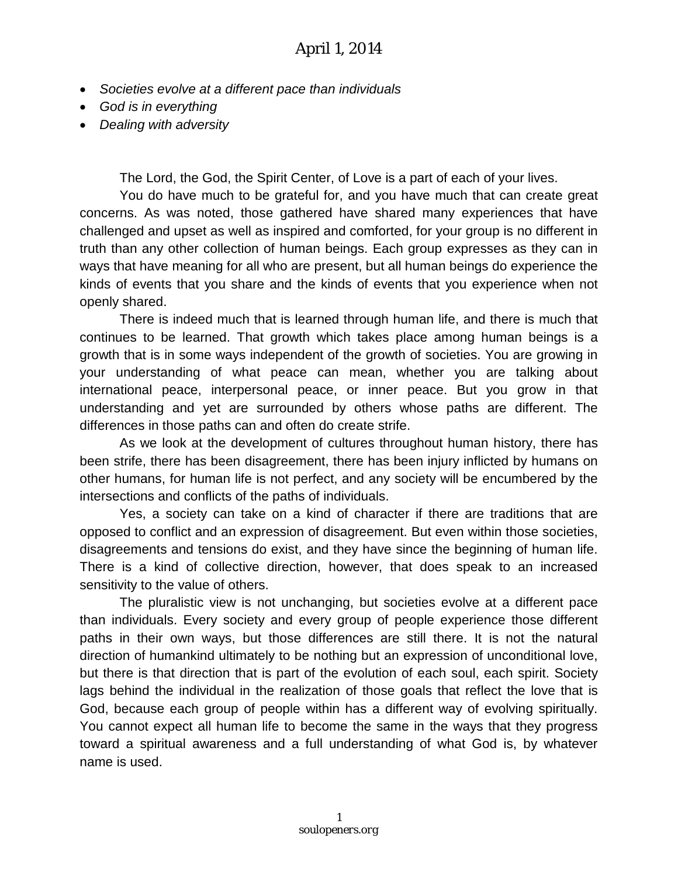- *Societies evolve at a different pace than individuals*
- *God is in everything*
- *Dealing with adversity*

The Lord, the God, the Spirit Center, of Love is a part of each of your lives.

You do have much to be grateful for, and you have much that can create great concerns. As was noted, those gathered have shared many experiences that have challenged and upset as well as inspired and comforted, for your group is no different in truth than any other collection of human beings. Each group expresses as they can in ways that have meaning for all who are present, but all human beings do experience the kinds of events that you share and the kinds of events that you experience when not openly shared.

There is indeed much that is learned through human life, and there is much that continues to be learned. That growth which takes place among human beings is a growth that is in some ways independent of the growth of societies. You are growing in your understanding of what peace can mean, whether you are talking about international peace, interpersonal peace, or inner peace. But you grow in that understanding and yet are surrounded by others whose paths are different. The differences in those paths can and often do create strife.

As we look at the development of cultures throughout human history, there has been strife, there has been disagreement, there has been injury inflicted by humans on other humans, for human life is not perfect, and any society will be encumbered by the intersections and conflicts of the paths of individuals.

Yes, a society can take on a kind of character if there are traditions that are opposed to conflict and an expression of disagreement. But even within those societies, disagreements and tensions do exist, and they have since the beginning of human life. There is a kind of collective direction, however, that does speak to an increased sensitivity to the value of others.

The pluralistic view is not unchanging, but societies evolve at a different pace than individuals. Every society and every group of people experience those different paths in their own ways, but those differences are still there. It is not the natural direction of humankind ultimately to be nothing but an expression of unconditional love, but there is that direction that is part of the evolution of each soul, each spirit. Society lags behind the individual in the realization of those goals that reflect the love that is God, because each group of people within has a different way of evolving spiritually. You cannot expect all human life to become the same in the ways that they progress toward a spiritual awareness and a full understanding of what God is, by whatever name is used.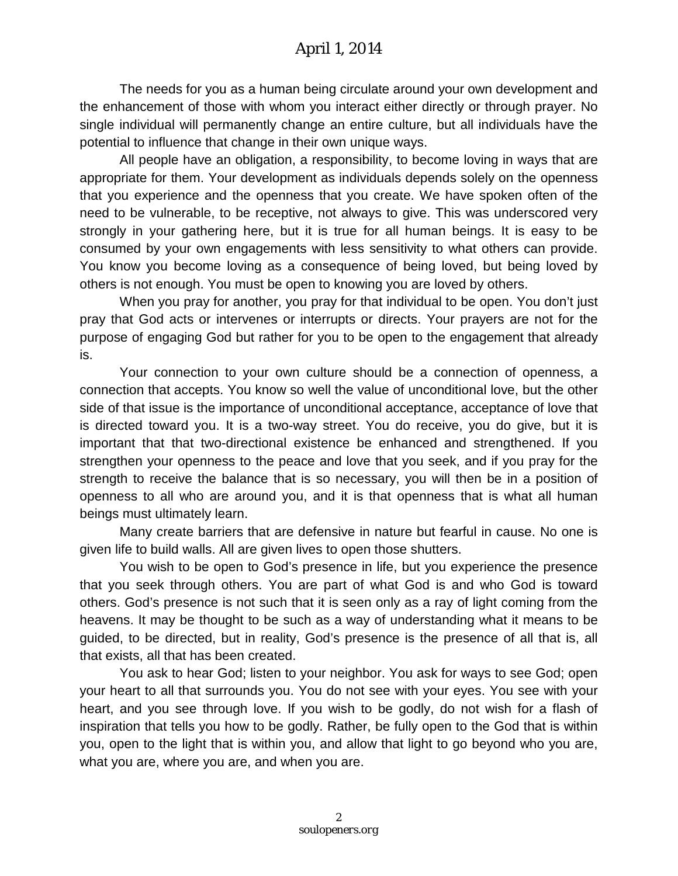The needs for you as a human being circulate around your own development and the enhancement of those with whom you interact either directly or through prayer. No single individual will permanently change an entire culture, but all individuals have the potential to influence that change in their own unique ways.

All people have an obligation, a responsibility, to become loving in ways that are appropriate for them. Your development as individuals depends solely on the openness that you experience and the openness that you create. We have spoken often of the need to be vulnerable, to be receptive, not always to give. This was underscored very strongly in your gathering here, but it is true for all human beings. It is easy to be consumed by your own engagements with less sensitivity to what others can provide. You know you become loving as a consequence of being loved, but being loved by others is not enough. You must be open to knowing you are loved by others.

When you pray for another, you pray for that individual to be open. You don't just pray that God acts or intervenes or interrupts or directs. Your prayers are not for the purpose of engaging God but rather for you to be open to the engagement that already is.

Your connection to your own culture should be a connection of openness, a connection that accepts. You know so well the value of unconditional love, but the other side of that issue is the importance of unconditional acceptance, acceptance of love that is directed toward you. It is a two-way street. You do receive, you do give, but it is important that that two-directional existence be enhanced and strengthened. If you strengthen your openness to the peace and love that you seek, and if you pray for the strength to receive the balance that is so necessary, you will then be in a position of openness to all who are around you, and it is that openness that is what all human beings must ultimately learn.

Many create barriers that are defensive in nature but fearful in cause. No one is given life to build walls. All are given lives to open those shutters.

You wish to be open to God's presence in life, but you experience the presence that you seek through others. You are part of what God is and who God is toward others. God's presence is not such that it is seen only as a ray of light coming from the heavens. It may be thought to be such as a way of understanding what it means to be guided, to be directed, but in reality, God's presence is the presence of all that is, all that exists, all that has been created.

You ask to hear God; listen to your neighbor. You ask for ways to see God; open your heart to all that surrounds you. You do not see with your eyes. You see with your heart, and you see through love. If you wish to be godly, do not wish for a flash of inspiration that tells you how to be godly. Rather, be fully open to the God that is within you, open to the light that is within you, and allow that light to go beyond who you are, what you are, where you are, and when you are.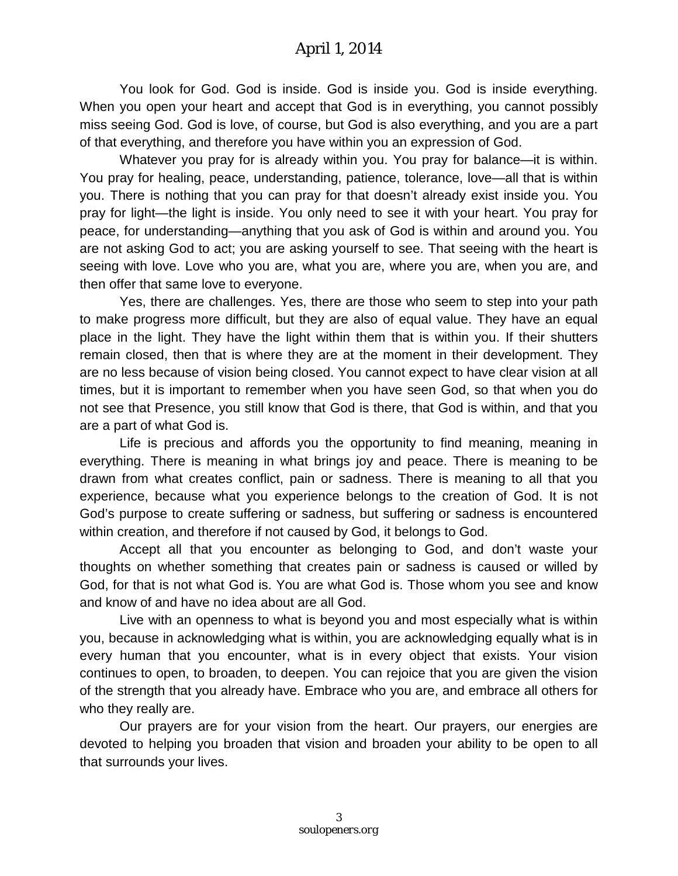You look for God. God is inside. God is inside you. God is inside everything. When you open your heart and accept that God is in everything, you cannot possibly miss seeing God. God is love, of course, but God is also everything, and you are a part of that everything, and therefore you have within you an expression of God.

Whatever you pray for is already within you. You pray for balance—it is within. You pray for healing, peace, understanding, patience, tolerance, love—all that is within you. There is nothing that you can pray for that doesn't already exist inside you. You pray for light—the light is inside. You only need to see it with your heart. You pray for peace, for understanding—anything that you ask of God is within and around you. You are not asking God to act; you are asking yourself to see. That seeing with the heart is seeing with love. Love who you are, what you are, where you are, when you are, and then offer that same love to everyone.

Yes, there are challenges. Yes, there are those who seem to step into your path to make progress more difficult, but they are also of equal value. They have an equal place in the light. They have the light within them that is within you. If their shutters remain closed, then that is where they are at the moment in their development. They are no less because of vision being closed. You cannot expect to have clear vision at all times, but it is important to remember when you have seen God, so that when you do not see that Presence, you still know that God is there, that God is within, and that you are a part of what God is.

Life is precious and affords you the opportunity to find meaning, meaning in everything. There is meaning in what brings joy and peace. There is meaning to be drawn from what creates conflict, pain or sadness. There is meaning to all that you experience, because what you experience belongs to the creation of God. It is not God's purpose to create suffering or sadness, but suffering or sadness is encountered within creation, and therefore if not caused by God, it belongs to God.

Accept all that you encounter as belonging to God, and don't waste your thoughts on whether something that creates pain or sadness is caused or willed by God, for that is not what God is. You are what God is. Those whom you see and know and know of and have no idea about are all God.

Live with an openness to what is beyond you and most especially what is within you, because in acknowledging what is within, you are acknowledging equally what is in every human that you encounter, what is in every object that exists. Your vision continues to open, to broaden, to deepen. You can rejoice that you are given the vision of the strength that you already have. Embrace who you are, and embrace all others for who they really are.

Our prayers are for your vision from the heart. Our prayers, our energies are devoted to helping you broaden that vision and broaden your ability to be open to all that surrounds your lives.